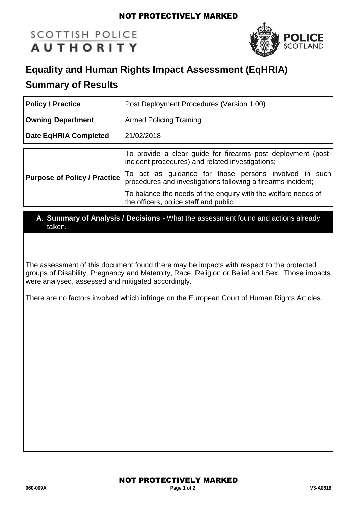### NOT PROTECTIVELY MARKED

# **SCOTTISH POLICE AUTHORITY**



## **Equality and Human Rights Impact Assessment (EqHRIA)**

### **Summary of Results**

| <b>Policy / Practice</b>            | Post Deployment Procedures (Version 1.00)                                                                             |
|-------------------------------------|-----------------------------------------------------------------------------------------------------------------------|
| <b>Owning Department</b>            | <b>Armed Policing Training</b>                                                                                        |
| Date EqHRIA Completed               | 21/02/2018                                                                                                            |
|                                     |                                                                                                                       |
| <b>Purpose of Policy / Practice</b> | To provide a clear guide for firearms post deployment (post-<br>incident procedures) and related investigations;      |
|                                     | To act as guidance for those persons involved in such<br>procedures and investigations following a firearms incident; |
|                                     | To balance the needs of the enguiry with the welfare needs of<br>the officers, police staff and public                |

### **A. Summary of Analysis / Decisions** - What the assessment found and actions already taken.

The assessment of this document found there may be impacts with respect to the protected groups of Disability, Pregnancy and Maternity, Race, Religion or Belief and Sex. Those impacts were analysed, assessed and mitigated accordingly.

There are no factors involved which infringe on the European Court of Human Rights Articles.